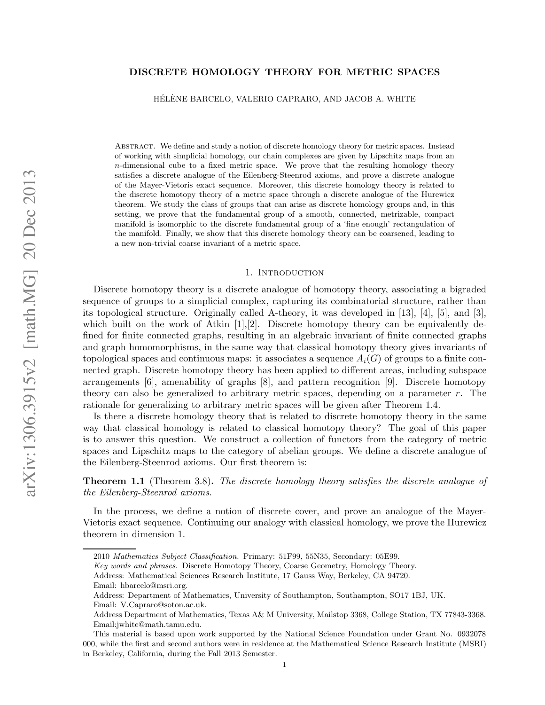# arXiv:1306.3915v2 [math.MG] 20 Dec 2013 [arXiv:1306.3915v2 \[math.MG\] 20 Dec 2013](http://arxiv.org/abs/1306.3915v2)

# DISCRETE HOMOLOGY THEORY FOR METRIC SPACES

HÉLÈNE BARCELO, VALERIO CAPRARO, AND JACOB A. WHITE

Abstract. We define and study a notion of discrete homology theory for metric spaces. Instead of working with simplicial homology, our chain complexes are given by Lipschitz maps from an  $n$ -dimensional cube to a fixed metric space. We prove that the resulting homology theory satisfies a discrete analogue of the Eilenberg-Steenrod axioms, and prove a discrete analogue of the Mayer-Vietoris exact sequence. Moreover, this discrete homology theory is related to the discrete homotopy theory of a metric space through a discrete analogue of the Hurewicz theorem. We study the class of groups that can arise as discrete homology groups and, in this setting, we prove that the fundamental group of a smooth, connected, metrizable, compact manifold is isomorphic to the discrete fundamental group of a 'fine enough' rectangulation of the manifold. Finally, we show that this discrete homology theory can be coarsened, leading to a new non-trivial coarse invariant of a metric space.

### 1. INTRODUCTION

Discrete homotopy theory is a discrete analogue of homotopy theory, associating a bigraded sequence of groups to a simplicial complex, capturing its combinatorial structure, rather than its topological structure. Originally called A-theory, it was developed in [13], [4], [5], and [3], which built on the work of Atkin  $[1], [2]$ . Discrete homotopy theory can be equivalently defined for finite connected graphs, resulting in an algebraic invariant of finite connected graphs and graph homomorphisms, in the same way that classical homotopy theory gives invariants of topological spaces and continuous maps: it associates a sequence  $A_i(G)$  of groups to a finite connected graph. Discrete homotopy theory has been applied to different areas, including subspace arrangements [6], amenability of graphs [8], and pattern recognition [9]. Discrete homotopy theory can also be generalized to arbitrary metric spaces, depending on a parameter r. The rationale for generalizing to arbitrary metric spaces will be given after Theorem 1.4.

Is there a discrete homology theory that is related to discrete homotopy theory in the same way that classical homology is related to classical homotopy theory? The goal of this paper is to answer this question. We construct a collection of functors from the category of metric spaces and Lipschitz maps to the category of abelian groups. We define a discrete analogue of the Eilenberg-Steenrod axioms. Our first theorem is:

**Theorem 1.1** (Theorem 3.8). The discrete homology theory satisfies the discrete analogue of the Eilenberg-Steenrod axioms.

In the process, we define a notion of discrete cover, and prove an analogue of the Mayer-Vietoris exact sequence. Continuing our analogy with classical homology, we prove the Hurewicz theorem in dimension 1.

Key words and phrases. Discrete Homotopy Theory, Coarse Geometry, Homology Theory.

Address: Mathematical Sciences Research Institute, 17 Gauss Way, Berkeley, CA 94720. Email: hbarcelo@msri.org.

<sup>2010</sup> Mathematics Subject Classification. Primary: 51F99, 55N35, Secondary: 05E99.

Address: Department of Mathematics, University of Southampton, Southampton, SO17 1BJ, UK.

Email: V.Capraro@soton.ac.uk.

Address Department of Mathematics, Texas A& M University, Mailstop 3368, College Station, TX 77843-3368. Email:jwhite@math.tamu.edu.

This material is based upon work supported by the National Science Foundation under Grant No. 0932078 000, while the first and second authors were in residence at the Mathematical Science Research Institute (MSRI) in Berkeley, California, during the Fall 2013 Semester.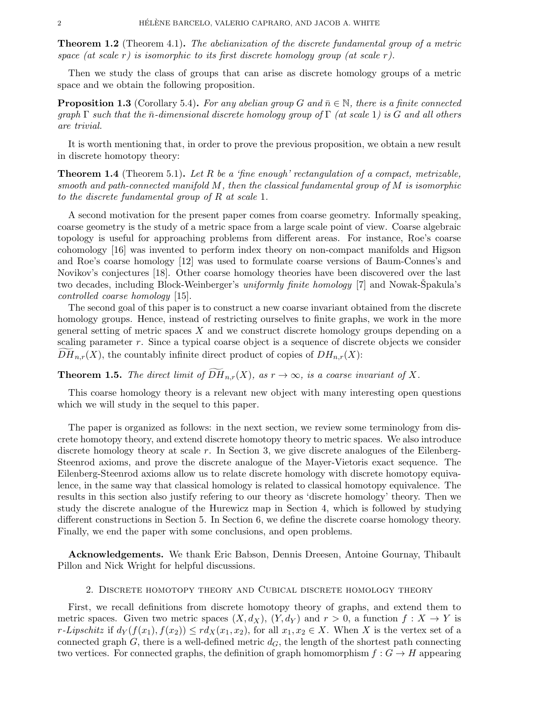**Theorem 1.2** (Theorem 4.1). The abelianization of the discrete fundamental group of a metric space (at scale r) is isomorphic to its first discrete homology group (at scale r).

Then we study the class of groups that can arise as discrete homology groups of a metric space and we obtain the following proposition.

**Proposition 1.3** (Corollary 5.4). For any abelian group G and  $\bar{n} \in \mathbb{N}$ , there is a finite connected graph  $\Gamma$  such that the  $\bar{n}$ -dimensional discrete homology group of  $\Gamma$  (at scale 1) is G and all others are trivial.

It is worth mentioning that, in order to prove the previous proposition, we obtain a new result in discrete homotopy theory:

**Theorem 1.4** (Theorem 5.1). Let R be a 'fine enough' rectangulation of a compact, metrizable, smooth and path-connected manifold  $M$ , then the classical fundamental group of  $M$  is isomorphic to the discrete fundamental group of R at scale 1.

A second motivation for the present paper comes from coarse geometry. Informally speaking, coarse geometry is the study of a metric space from a large scale point of view. Coarse algebraic topology is useful for approaching problems from different areas. For instance, Roe's coarse cohomology [16] was invented to perform index theory on non-compact manifolds and Higson and Roe's coarse homology [12] was used to formulate coarse versions of Baum-Connes's and Novikov's conjectures [18]. Other coarse homology theories have been discovered over the last two decades, including Block-Weinberger's *uniformly finite homology* [7] and Nowak-Spakula's controlled coarse homology [15].

The second goal of this paper is to construct a new coarse invariant obtained from the discrete homology groups. Hence, instead of restricting ourselves to finite graphs, we work in the more general setting of metric spaces X and we construct discrete homology groups depending on a scaling parameter r. Since a typical coarse object is a sequence of discrete objects we consider  $DH_{n,r}(X)$ , the countably infinite direct product of copies of  $DH_{n,r}(X)$ :

**Theorem 1.5.** The direct limit of  $\overline{DH}_{n,r}(X)$ , as  $r \to \infty$ , is a coarse invariant of X.

This coarse homology theory is a relevant new object with many interesting open questions which we will study in the sequel to this paper.

The paper is organized as follows: in the next section, we review some terminology from discrete homotopy theory, and extend discrete homotopy theory to metric spaces. We also introduce discrete homology theory at scale  $r$ . In Section 3, we give discrete analogues of the Eilenberg-Steenrod axioms, and prove the discrete analogue of the Mayer-Vietoris exact sequence. The Eilenberg-Steenrod axioms allow us to relate discrete homology with discrete homotopy equivalence, in the same way that classical homology is related to classical homotopy equivalence. The results in this section also justify refering to our theory as 'discrete homology' theory. Then we study the discrete analogue of the Hurewicz map in Section 4, which is followed by studying different constructions in Section 5. In Section 6, we define the discrete coarse homology theory. Finally, we end the paper with some conclusions, and open problems.

Acknowledgements. We thank Eric Babson, Dennis Dreesen, Antoine Gournay, Thibault Pillon and Nick Wright for helpful discussions.

### 2. Discrete homotopy theory and Cubical discrete homology theory

First, we recall definitions from discrete homotopy theory of graphs, and extend them to metric spaces. Given two metric spaces  $(X, d_X)$ ,  $(Y, d_Y)$  and  $r > 0$ , a function  $f: X \to Y$  is r-Lipschitz if  $d_Y(f(x_1), f(x_2)) \leq r d_X(x_1, x_2)$ , for all  $x_1, x_2 \in X$ . When X is the vertex set of a connected graph G, there is a well-defined metric  $d_G$ , the length of the shortest path connecting two vertices. For connected graphs, the definition of graph homomorphism  $f : G \to H$  appearing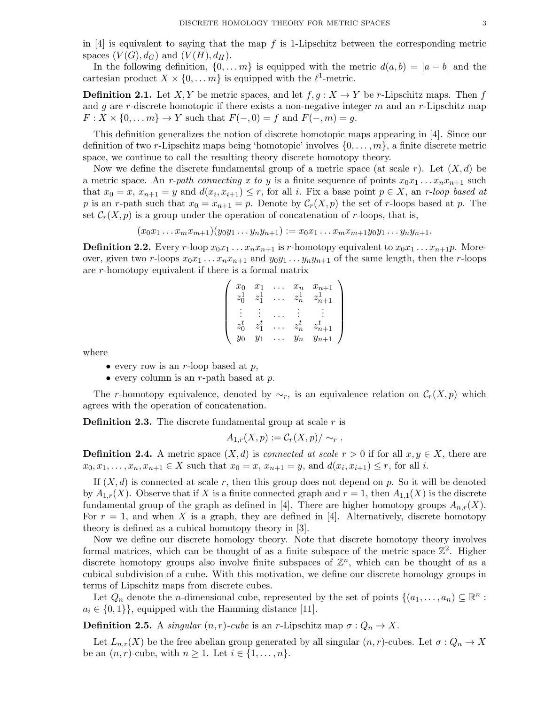in  $[4]$  is equivalent to saying that the map f is 1-Lipschitz between the corresponding metric spaces  $(V(G), d_G)$  and  $(V(H), d_H)$ .

In the following definition,  $\{0,\ldots m\}$  is equipped with the metric  $d(a, b) = |a - b|$  and the cartesian product  $X \times \{0, \ldots m\}$  is equipped with the  $\ell^1$ -metric.

**Definition 2.1.** Let X, Y be metric spaces, and let  $f, g: X \to Y$  be r-Lipschitz maps. Then f and g are r-discrete homotopic if there exists a non-negative integer  $m$  and an r-Lipschitz map  $F: X \times \{0, \ldots m\} \rightarrow Y$  such that  $F(-, 0) = f$  and  $F(-, m) = g$ .

This definition generalizes the notion of discrete homotopic maps appearing in [4]. Since our definition of two r-Lipschitz maps being 'homotopic' involves  $\{0,\ldots,m\}$ , a finite discrete metric space, we continue to call the resulting theory discrete homotopy theory.

Now we define the discrete fundamental group of a metric space (at scale r). Let  $(X, d)$  be a metric space. An r-path connecting x to y is a finite sequence of points  $x_0x_1 \ldots x_nx_{n+1}$  such that  $x_0 = x$ ,  $x_{n+1} = y$  and  $d(x_i, x_{i+1}) \leq r$ , for all i. Fix a base point  $p \in X$ , an r-loop based at p is an r-path such that  $x_0 = x_{n+1} = p$ . Denote by  $\mathcal{C}_r(X, p)$  the set of r-loops based at p. The set  $\mathcal{C}_r(X,p)$  is a group under the operation of concatenation of r-loops, that is,

 $(x_0x_1 \ldots x_mx_{m+1})(y_0y_1 \ldots y_ny_{n+1}) := x_0x_1 \ldots x_mx_{m+1}y_0y_1 \ldots y_ny_{n+1}.$ 

**Definition 2.2.** Every r-loop  $x_0x_1 \ldots x_nx_{n+1}$  is r-homotopy equivalent to  $x_0x_1 \ldots x_{n+1}p$ . Moreover, given two r-loops  $x_0x_1 \ldots x_nx_{n+1}$  and  $y_0y_1 \ldots y_ny_{n+1}$  of the same length, then the r-loops are r-homotopy equivalent if there is a formal matrix

> $\sqrt{ }$  $\begin{array}{c}\n\phantom{\overline{a}}\phantom{\overline{a}}\phantom{\overline{a}}\phantom{\overline{a}}\phantom{\overline{a}}\phantom{\overline{a}}\phantom{\overline{a}}\phantom{\overline{a}}\phantom{\overline{a}}\phantom{\overline{a}}\phantom{\overline{a}}\phantom{\overline{a}}\phantom{\overline{a}}\phantom{\overline{a}}\phantom{\overline{a}}\phantom{\overline{a}}\phantom{\overline{a}}\phantom{\overline{a}}\phantom{\overline{a}}\phantom{\overline{a}}\phantom{\overline{a}}\phantom{\overline{a}}\phantom{\overline{a}}\phantom{\over$  $x_0$   $x_1$  ...  $x_n$   $x_{n+1}$  $z_0^1$   $z_1^1$  ...  $z_n^1$   $z_{n+1}^1$ <br>
> : : ... : :  $z_0^t \quad z_1^t \quad \ldots \quad z_n^t \quad z_{n+1}^t$  $y_0 \quad y_1 \quad \ldots \quad y_n \quad y_{n+1}$  $\setminus$  $\frac{1}{2}$

where

- every row is an r-loop based at  $p$ ,
- every column is an *r*-path based at  $p$ .

The r-homotopy equivalence, denoted by  $\sim_r$ , is an equivalence relation on  $\mathcal{C}_r(X,p)$  which agrees with the operation of concatenation.

**Definition 2.3.** The discrete fundamental group at scale  $r$  is

$$
A_{1,r}(X,p) := \mathcal{C}_r(X,p) / \sim_r.
$$

**Definition 2.4.** A metric space  $(X, d)$  is *connected at scale r* > 0 if for all  $x, y \in X$ , there are  $x_0, x_1, \ldots, x_n, x_{n+1} \in X$  such that  $x_0 = x, x_{n+1} = y$ , and  $d(x_i, x_{i+1}) \leq r$ , for all i.

If  $(X, d)$  is connected at scale r, then this group does not depend on p. So it will be denoted by  $A_{1,r}(X)$ . Observe that if X is a finite connected graph and  $r = 1$ , then  $A_{1,1}(X)$  is the discrete fundamental group of the graph as defined in [4]. There are higher homotopy groups  $A_{n,r}(X)$ . For  $r = 1$ , and when X is a graph, they are defined in [4]. Alternatively, discrete homotopy theory is defined as a cubical homotopy theory in [3].

Now we define our discrete homology theory. Note that discrete homotopy theory involves formal matrices, which can be thought of as a finite subspace of the metric space  $\mathbb{Z}^2$ . Higher discrete homotopy groups also involve finite subspaces of  $\mathbb{Z}^n$ , which can be thought of as a cubical subdivision of a cube. With this motivation, we define our discrete homology groups in terms of Lipschitz maps from discrete cubes.

Let  $Q_n$  denote the *n*-dimensional cube, represented by the set of points  $\{(a_1,\ldots,a_n)\subseteq \mathbb{R}^n$ :  $a_i \in \{0,1\}$ , equipped with the Hamming distance [11].

**Definition 2.5.** A *singular*  $(n, r)$ -cube is an r-Lipschitz map  $\sigma : Q_n \to X$ .

Let  $L_{n,r}(X)$  be the free abelian group generated by all singular  $(n,r)$ -cubes. Let  $\sigma: Q_n \to X$ be an  $(n, r)$ -cube, with  $n \geq 1$ . Let  $i \in \{1, \ldots, n\}$ .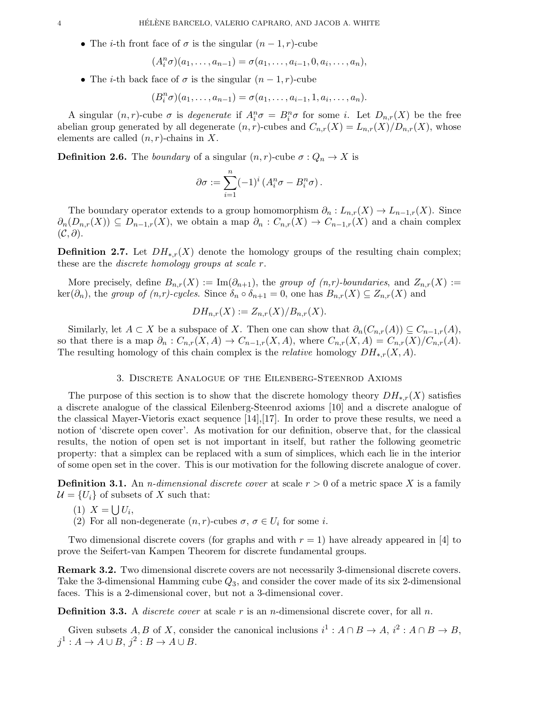• The *i*-th front face of  $\sigma$  is the singular  $(n-1,r)$ -cube

$$
(A_i^n \sigma)(a_1, \ldots, a_{n-1}) = \sigma(a_1, \ldots, a_{i-1}, 0, a_i, \ldots, a_n),
$$

• The *i*-th back face of  $\sigma$  is the singular  $(n-1,r)$ -cube

$$
(B_i^n \sigma)(a_1, \ldots, a_{n-1}) = \sigma(a_1, \ldots, a_{i-1}, 1, a_i, \ldots, a_n).
$$

A singular  $(n,r)$ -cube  $\sigma$  is *degenerate* if  $A_i^n \sigma = B_i^n \sigma$  for some *i*. Let  $D_{n,r}(X)$  be the free abelian group generated by all degenerate  $(n, r)$ -cubes and  $C_{n,r}(X) = L_{n,r}(X)/D_{n,r}(X)$ , whose elements are called  $(n, r)$ -chains in X.

**Definition 2.6.** The boundary of a singular  $(n, r)$ -cube  $\sigma : Q_n \to X$  is

$$
\partial \sigma := \sum_{i=1}^{n} (-1)^{i} \left( A_{i}^{n} \sigma - B_{i}^{n} \sigma \right).
$$

The boundary operator extends to a group homomorphism  $\partial_n: L_{n,r}(X) \to L_{n-1,r}(X)$ . Since  $\partial_n(D_{n,r}(X)) \subseteq D_{n-1,r}(X)$ , we obtain a map  $\partial_n : C_{n,r}(X) \to C_{n-1,r}(X)$  and a chain complex  $(C, \partial)$ .

**Definition 2.7.** Let  $DH_{*,r}(X)$  denote the homology groups of the resulting chain complex; these are the *discrete homology groups at scale r*.

More precisely, define  $B_{n,r}(X) := \text{Im}(\partial_{n+1})$ , the group of  $(n,r)$ -boundaries, and  $Z_{n,r}(X) :=$  $\ker(\partial_n)$ , the group of  $(n,r)$ -cycles. Since  $\delta_n \circ \delta_{n+1} = 0$ , one has  $B_{n,r}(X) \subseteq Z_{n,r}(X)$  and

$$
DH_{n,r}(X) := Z_{n,r}(X)/B_{n,r}(X).
$$

Similarly, let  $A \subset X$  be a subspace of X. Then one can show that  $\partial_n(C_{n,r}(A)) \subseteq C_{n-1,r}(A)$ , so that there is a map  $\partial_n: C_{n,r}(X,A) \to C_{n-1,r}(X,A)$ , where  $C_{n,r}(X,A) = C_{n,r}(X)/C_{n,r}(A)$ . The resulting homology of this chain complex is the *relative* homology  $DH_{*,r}(X, A)$ .

## 3. Discrete Analogue of the Eilenberg-Steenrod Axioms

The purpose of this section is to show that the discrete homology theory  $DH_{*,r}(X)$  satisfies a discrete analogue of the classical Eilenberg-Steenrod axioms [10] and a discrete analogue of the classical Mayer-Vietoris exact sequence  $[14], [17]$ . In order to prove these results, we need a notion of 'discrete open cover'. As motivation for our definition, observe that, for the classical results, the notion of open set is not important in itself, but rather the following geometric property: that a simplex can be replaced with a sum of simplices, which each lie in the interior of some open set in the cover. This is our motivation for the following discrete analogue of cover.

**Definition 3.1.** An *n*-dimensional discrete cover at scale  $r > 0$  of a metric space X is a family  $\mathcal{U} = \{U_i\}$  of subsets of X such that:

$$
(1) X = \bigcup U_i,
$$

(2) For all non-degenerate  $(n, r)$ -cubes  $\sigma$ ,  $\sigma \in U_i$  for some *i*.

Two dimensional discrete covers (for graphs and with  $r = 1$ ) have already appeared in [4] to prove the Seifert-van Kampen Theorem for discrete fundamental groups.

Remark 3.2. Two dimensional discrete covers are not necessarily 3-dimensional discrete covers. Take the 3-dimensional Hamming cube  $Q_3$ , and consider the cover made of its six 2-dimensional faces. This is a 2-dimensional cover, but not a 3-dimensional cover.

**Definition 3.3.** A *discrete cover* at scale r is an *n*-dimensional discrete cover, for all *n*.

Given subsets A, B of X, consider the canonical inclusions  $i^1 : A \cap B \to A$ ,  $i^2 : A \cap B \to B$ ,  $j^1: A \to A \cup B, j^2: B \to A \cup B.$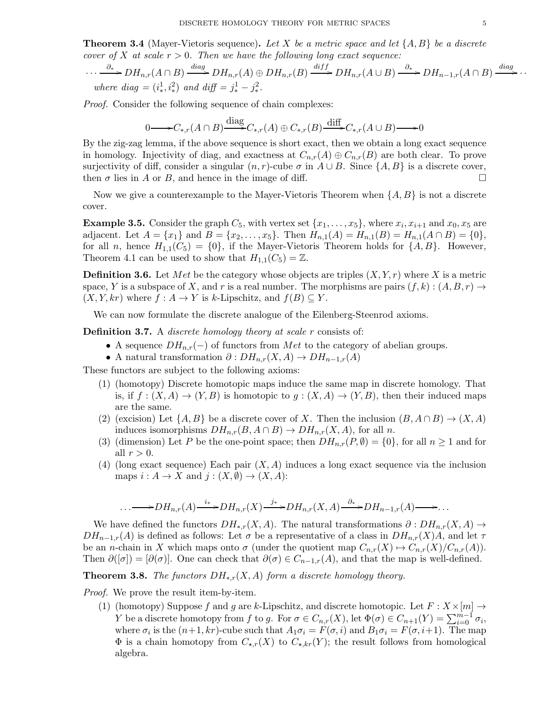**Theorem 3.4** (Mayer-Vietoris sequence). Let X be a metric space and let  $\{A, B\}$  be a discrete cover of X at scale  $r > 0$ . Then we have the following long exact sequence:

$$
\cdots \xrightarrow{\partial_*} DH_{n,r}(A \cap B) \xrightarrow{diag} DH_{n,r}(A) \oplus DH_{n,r}(B) \xrightarrow{diff} DH_{n,r}(A \cup B) \xrightarrow{\partial_*} DH_{n-1,r}(A \cap B) \xrightarrow{diag} \cdots
$$
  
where diag =  $(i^1_*, i^2_*)$  and diff =  $j^1_* - j^2_*$ .

Proof. Consider the following sequence of chain complexes:

$$
0 \longrightarrow C_{*,r}(A \cap B) \xrightarrow{\text{diag}} C_{*,r}(A) \oplus C_{*,r}(B) \xrightarrow{\text{diff}} C_{*,r}(A \cup B) \longrightarrow 0
$$

By the zig-zag lemma, if the above sequence is short exact, then we obtain a long exact sequence in homology. Injectivity of diag, and exactness at  $C_{n,r}(A) \oplus C_{n,r}(B)$  are both clear. To prove surjectivity of diff, consider a singular  $(n, r)$ -cube  $\sigma$  in  $A \cup B$ . Since  $\{A, B\}$  is a discrete cover, then  $\sigma$  lies in A or B, and hence in the image of diff.  $\square$ 

Now we give a counterexample to the Mayer-Vietoris Theorem when  $\{A, B\}$  is not a discrete cover.

**Example 3.5.** Consider the graph  $C_5$ , with vertex set  $\{x_1, \ldots, x_5\}$ , where  $x_i, x_{i+1}$  and  $x_0, x_5$  are adjacent. Let  $A = \{x_1\}$  and  $B = \{x_2, \ldots, x_5\}$ . Then  $H_{n,1}(A) = H_{n,1}(B) = H_{n,1}(A \cap B) = \{0\},\$ for all n, hence  $H_{1,1}(C_5) = \{0\}$ , if the Mayer-Vietoris Theorem holds for  $\{A, B\}$ . However, Theorem 4.1 can be used to show that  $H_{1,1}(C_5) = \mathbb{Z}$ .

**Definition 3.6.** Let Met be the category whose objects are triples  $(X, Y, r)$  where X is a metric space, Y is a subspace of X, and r is a real number. The morphisms are pairs  $(f, k) : (A, B, r) \rightarrow$  $(X, Y, kr)$  where  $f : A \to Y$  is k-Lipschitz, and  $f(B) \subseteq Y$ .

We can now formulate the discrete analogue of the Eilenberg-Steenrod axioms.

**Definition 3.7.** A *discrete homology theory at scale r* consists of:

- A sequence  $DH_{n,r}(-)$  of functors from Met to the category of abelian groups.
- A natural transformation  $\partial : DH_{n,r}(X, A) \to DH_{n-1,r}(A)$

These functors are subject to the following axioms:

- (1) (homotopy) Discrete homotopic maps induce the same map in discrete homology. That is, if  $f : (X, A) \to (Y, B)$  is homotopic to  $g : (X, A) \to (Y, B)$ , then their induced maps are the same.
- (2) (excision) Let  $\{A, B\}$  be a discrete cover of X. Then the inclusion  $(B, A \cap B) \to (X, A)$ induces isomorphisms  $DH_{n,r}(B, A \cap B) \to DH_{n,r}(X, A)$ , for all n.
- (3) (dimension) Let P be the one-point space; then  $DH_{n,r}(P, \emptyset) = \{0\}$ , for all  $n \geq 1$  and for all  $r > 0$ .
- (4) (long exact sequence) Each pair  $(X, A)$  induces a long exact sequence via the inclusion maps  $i : A \to X$  and  $j : (X, \emptyset) \to (X, A)$ :

$$
\ldots \longrightarrow DH_{n,r}(A) \xrightarrow{i_*} DH_{n,r}(X) \xrightarrow{j_*} DH_{n,r}(X,A) \xrightarrow{\partial_*} DH_{n-1,r}(A) \longrightarrow \ldots
$$

We have defined the functors  $DH_{*,r}(X, A)$ . The natural transformations  $\partial: DH_{n,r}(X, A) \to$  $DH_{n-1,r}(A)$  is defined as follows: Let  $\sigma$  be a representative of a class in  $DH_{n,r}(X)A$ , and let  $\tau$ be an *n*-chain in X which maps onto  $\sigma$  (under the quotient map  $C_{n,r}(X) \mapsto C_{n,r}(X)/C_{n,r}(A)$ ). Then  $\partial([\sigma]) = [\partial(\sigma)]$ . One can check that  $\partial(\sigma) \in C_{n-1,r}(A)$ , and that the map is well-defined.

**Theorem 3.8.** The functors  $DH_{*,r}(X, A)$  form a discrete homology theory.

Proof. We prove the result item-by-item.

(1) (homotopy) Suppose f and g are k-Lipschitz, and discrete homotopic. Let  $F: X \times [m] \rightarrow$ Y be a discrete homotopy from f to g. For  $\sigma \in C_{n,r}(X)$ , let  $\Phi(\sigma) \in C_{n+1}(Y) = \sum_{i=0}^{m-1} \sigma_i$ , where  $\sigma_i$  is the  $(n+1, kr)$ -cube such that  $A_1\sigma_i = F(\sigma, i)$  and  $B_1\sigma_i = F(\sigma, i+1)$ . The map  $\Phi$  is a chain homotopy from  $C_{\star,r}(X)$  to  $C_{\star,kr}(Y)$ ; the result follows from homological algebra.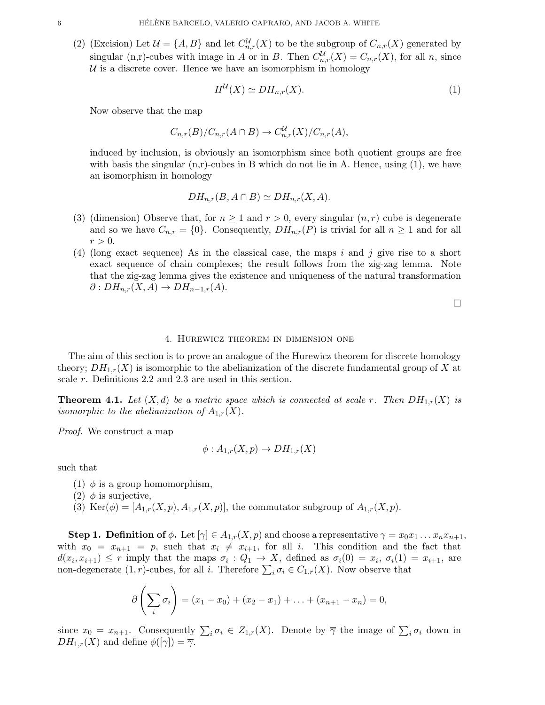(2) (Excision) Let  $\mathcal{U} = \{A, B\}$  and let  $C_{n,r}^{\mathcal{U}}(X)$  to be the subgroup of  $C_{n,r}(X)$  generated by singular (n,r)-cubes with image in A or in B. Then  $C_{n,r}^{\mathcal{U}}(X) = C_{n,r}(X)$ , for all n, since  $U$  is a discrete cover. Hence we have an isomorphism in homology

$$
H^{\mathcal{U}}(X) \simeq DH_{n,r}(X). \tag{1}
$$

Now observe that the map

$$
C_{n,r}(B)/C_{n,r}(A \cap B) \to C_{n,r}^{\mathcal{U}}(X)/C_{n,r}(A),
$$

induced by inclusion, is obviously an isomorphism since both quotient groups are free with basis the singular  $(n,r)$ -cubes in B which do not lie in A. Hence, using  $(1)$ , we have an isomorphism in homology

$$
DH_{n,r}(B, A \cap B) \simeq DH_{n,r}(X, A).
$$

- (3) (dimension) Observe that, for  $n \geq 1$  and  $r > 0$ , every singular  $(n, r)$  cube is degenerate and so we have  $C_{n,r} = \{0\}$ . Consequently,  $DH_{n,r}(P)$  is trivial for all  $n \geq 1$  and for all  $r > 0$ .
- (4) (long exact sequence) As in the classical case, the maps i and j give rise to a short exact sequence of chain complexes; the result follows from the zig-zag lemma. Note that the zig-zag lemma gives the existence and uniqueness of the natural transformation  $\partial: DH_{n,r}(X,A) \to DH_{n-1,r}(A).$

 $\Box$ 

### 4. Hurewicz theorem in dimension one

The aim of this section is to prove an analogue of the Hurewicz theorem for discrete homology theory;  $DH_{1,r}(X)$  is isomorphic to the abelianization of the discrete fundamental group of X at scale r. Definitions 2.2 and 2.3 are used in this section.

**Theorem 4.1.** Let  $(X,d)$  be a metric space which is connected at scale r. Then  $DH_{1,r}(X)$  is isomorphic to the abelianization of  $A_{1,r}(X)$ .

Proof. We construct a map

$$
\phi: A_{1,r}(X,p) \to DH_{1,r}(X)
$$

such that

- (1)  $\phi$  is a group homomorphism,
- (2)  $\phi$  is surjective,
- (3) Ker( $\phi$ ) = [ $A_{1,r}(X, p)$ ,  $A_{1,r}(X, p)$ ], the commutator subgroup of  $A_{1,r}(X, p)$ .

**Step 1. Definition of**  $\phi$ . Let  $[\gamma] \in A_{1,r}(X,p)$  and choose a representative  $\gamma = x_0x_1 \dots x_nx_{n+1}$ , with  $x_0 = x_{n+1} = p$ , such that  $x_i \neq x_{i+1}$ , for all i. This condition and the fact that  $d(x_i, x_{i+1}) \leq r$  imply that the maps  $\sigma_i : Q_1 \to X$ , defined as  $\sigma_i(0) = x_i$ ,  $\sigma_i(1) = x_{i+1}$ , are non-degenerate  $(1, r)$ -cubes, for all *i*. Therefore  $\sum_i \sigma_i \in C_{1,r}(X)$ . Now observe that

$$
\partial \left( \sum_{i} \sigma_{i} \right) = (x_{1} - x_{0}) + (x_{2} - x_{1}) + \ldots + (x_{n+1} - x_{n}) = 0,
$$

since  $x_0 = x_{n+1}$ . Consequently  $\sum_i \sigma_i \in Z_{1,r}(X)$ . Denote by  $\overline{\gamma}$  the image of  $\sum_i \sigma_i$  down in  $DH_{1,r}(X)$  and define  $\phi([\gamma]) = \overline{\gamma}.$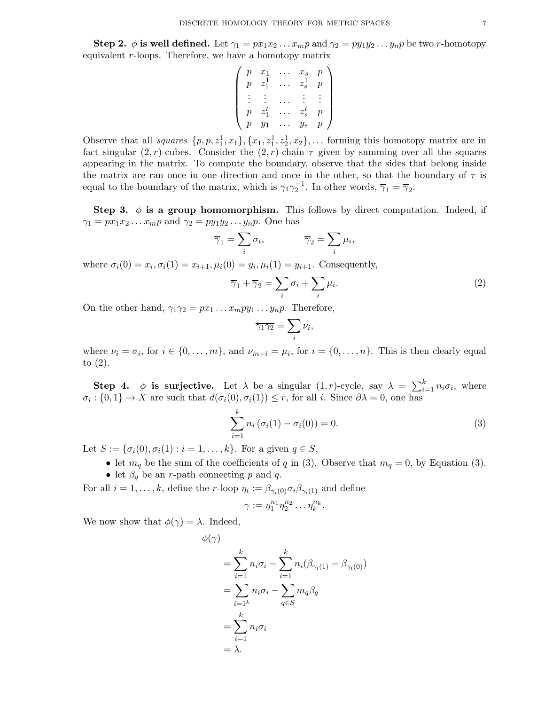Step 2.  $\phi$  is well defined. Let  $\gamma_1 = px_1x_2...x_mp$  and  $\gamma_2 = py_1y_2...y_np$  be two r-homotopy equivalent r-loops. Therefore, we have a homotopy matrix

$$
\left(\begin{array}{cccc} p & x_1 & \dots & x_s & p \\ p & z_1^1 & \dots & z_s^1 & p \\ \vdots & \vdots & \dots & \vdots & \vdots \\ p & z_1^t & \dots & z_s^t & p \\ p & y_1 & \dots & y_s & p \end{array}\right)
$$

Observe that all *squares*  $\{p, p, z_1^1, x_1\}, \{x_1, z_1^1, z_2^1, x_2\}, \ldots$  forming this homotopy matrix are in fact singular  $(2, r)$ -cubes. Consider the  $(2, r)$ -chain  $\tau$  given by summing over all the squares appearing in the matrix. To compute the boundary, observe that the sides that belong inside the matrix are ran once in one direction and once in the other, so that the boundary of  $\tau$  is equal to the boundary of the matrix, which is  $\gamma_1 \gamma_2^{-1}$ . In other words,  $\overline{\gamma}_1 = \overline{\gamma}_2$ .

Step 3.  $\phi$  is a group homomorphism. This follows by direct computation. Indeed, if  $\gamma_1 = px_1x_2...x_mp \text{ and } \gamma_2 = py_1y_2...y_np.$  One has

$$
\overline{\gamma}_1 = \sum_i \sigma_i, \qquad \overline{\gamma}_2 = \sum_i \mu_i,
$$

where  $\sigma_i(0) = x_i, \sigma_i(1) = x_{i+1}, \mu_i(0) = y_i, \mu_i(1) = y_{i+1}$ . Consequently,

$$
\overline{\gamma}_1 + \overline{\gamma}_2 = \sum_i \sigma_i + \sum_i \mu_i.
$$
 (2)

On the other hand,  $\gamma_1 \gamma_2 = px_1 \dots x_m py_1 \dots y_n p$ . Therefore,

$$
\overline{\gamma_1\gamma_2} = \sum_i \nu_i,
$$

where  $\nu_i = \sigma_i$ , for  $i \in \{0, \ldots, m\}$ , and  $\nu_{m+i} = \mu_i$ , for  $i = \{0, \ldots, n\}$ . This is then clearly equal to (2).

**Step 4.**  $\phi$  is surjective. Let  $\lambda$  be a singular  $(1, r)$ -cycle, say  $\lambda = \sum_{i=1}^{k} n_i \sigma_i$ , where  $\sigma_i : \{0,1\} \to X$  are such that  $d(\sigma_i(0), \sigma_i(1)) \leq r$ , for all i. Since  $\partial \lambda = 0$ , one has

$$
\sum_{i=1}^{k} n_i (\sigma_i(1) - \sigma_i(0)) = 0.
$$
 (3)

Let  $S := \{\sigma_i(0), \sigma_i(1) : i = 1, ..., k\}$ . For a given  $q \in S$ ,

• let  $m_q$  be the sum of the coefficients of q in (3). Observe that  $m_q = 0$ , by Equation (3).

• let  $\beta_q$  be an *r*-path connecting p and q.

For all  $i = 1, \ldots, k$ , define the r-loop  $\eta_i := \beta_{\gamma_i(0)} \sigma_i \beta_{\gamma_i(1)}$  and define

$$
\gamma := \eta_1^{n_1} \eta_2^{n_2} \dots \eta_k^{n_k}.
$$

We now show that  $\phi(\gamma) = \lambda$ . Indeed,

$$
\begin{aligned}\n\phi(\gamma) &= \sum_{i=1}^k n_i \sigma_i - \sum_{i=1}^k n_i (\beta_{\gamma_i(1)} - \beta_{\gamma_i(0)}) \\
&= \sum_{i=1^k} n_i \sigma_i - \sum_{q \in S} m_q \beta_q \\
&= \sum_{i=1}^k n_i \sigma_i \\
&= \lambda.\n\end{aligned}
$$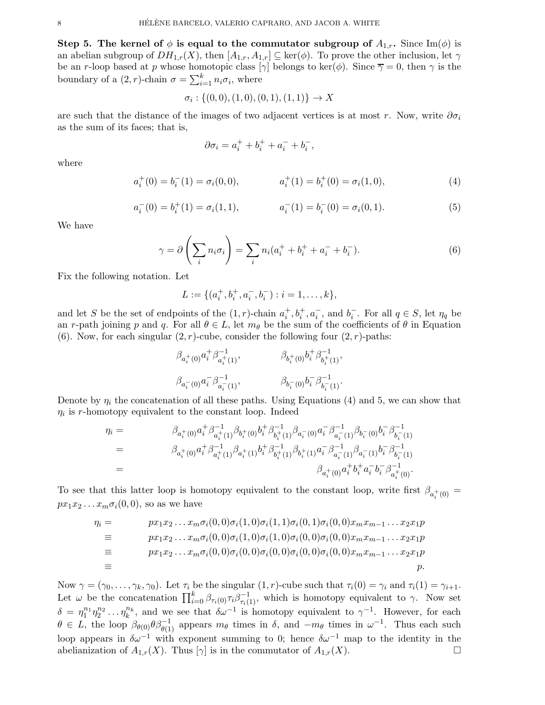Step 5. The kernel of  $\phi$  is equal to the commutator subgroup of  $A_{1,r}$ . Since Im( $\phi$ ) is an abelian subgroup of  $DH_{1,r}(X)$ , then  $[A_{1,r}, A_{1,r}] \subseteq \text{ker}(\phi)$ . To prove the other inclusion, let  $\gamma$ be an r-loop based at p whose homotopic class  $[\gamma]$  belongs to ker( $\phi$ ). Since  $\overline{\gamma} = 0$ , then  $\gamma$  is the boundary of a  $(2, r)$ -chain  $\sigma = \sum_{i=1}^{k} n_i \sigma_i$ , where

$$
\sigma_i: \{(0,0), (1,0), (0,1), (1,1)\} \to X
$$

are such that the distance of the images of two adjacent vertices is at most r. Now, write  $\partial \sigma_i$ as the sum of its faces; that is,

$$
\partial \sigma_i = a_i^+ + b_i^+ + a_i^- + b_i^-,
$$

where

$$
a_i^+(0) = b_i^-(1) = \sigma_i(0,0), \qquad a_i^+(1) = b_i^+(0) = \sigma_i(1,0), \qquad (4)
$$

$$
a_i^-(0) = b_i^+(1) = \sigma_i(1,1), \qquad a_i^-(1) = b_i^-(0) = \sigma_i(0,1). \tag{5}
$$

We have

$$
\gamma = \partial \left(\sum_i n_i \sigma_i\right) = \sum_i n_i (a_i^+ + b_i^+ + a_i^- + b_i^-). \tag{6}
$$

Fix the following notation. Let

$$
L := \{ (a_i^+, b_i^+, a_i^-, b_i^-) : i = 1, \dots, k \},\
$$

and let S be the set of endpoints of the  $(1, r)$ -chain  $a_i^+, b_i^+, a_i^-,$  and  $b_i^-$ . For all  $q \in S$ , let  $\eta_q$  be an r-path joining p and q. For all  $\theta \in L$ , let  $m_{\theta}$  be the sum of the coefficients of  $\theta$  in Equation (6). Now, for each singular  $(2, r)$ -cube, consider the following four  $(2, r)$ -paths:

$$
\begin{array}{ll}\n\beta_{a_i^+ (0)} a_i^+ \beta_{a_i^+ (1)}^{-1}, & \beta_{b_i^+ (0)} b_i^+ \beta_{b_i^+ (1)}^{-1}, \\
\beta_{a_i^- (0)} a_i^- \beta_{a_i^- (1)}^{-1}, & \beta_{b_i^- (0)} b_i^- \beta_{b_i^- (1)}^{-1}.\n\end{array}
$$

Denote by  $\eta_i$  the concatenation of all these paths. Using Equations (4) and 5, we can show that  $\eta_i$  is r-homotopy equivalent to the constant loop. Indeed

$$
\begin{aligned} \eta_i = & \beta_{a_i^+(0)} a_i^+ \beta_{a_i^+(1)}^{-1} \beta_{b_i^+(0)} b_i^+ \beta_{b_i^+(1)}^{-1} \beta_{a_i^-(0)} a_i^- \beta_{a_i^-(1)}^{-1} \beta_{b_i^-(0)} b_i^- \beta_{b_i^-(1)}^{-1} \\ = & \beta_{a_i^+(0)} a_i^+ \beta_{a_i^+(1)}^{-1} \beta_{a_i^+(1)} b_i^+ \beta_{b_i^+(1)}^{-1} \beta_{b_i^+(1)} a_i^- \beta_{a_i^-(1)}^{-1} \beta_{a_i^-(1)} b_i^- \beta_{b_i^-(1)}^{-1} \\ = & \beta_{a_i^+(0)} a_i^+ b_i^+ a_i^- b_i^- \beta_{a_i^+(0)}^{-1}. \end{aligned}
$$

To see that this latter loop is homotopy equivalent to the constant loop, write first  $\beta_{a_i^+(0)} =$  $px_1x_2 \ldots x_m\sigma_i(0,0)$ , so as we have

$$
\eta_i = p x_1 x_2 \dots x_m \sigma_i(0,0) \sigma_i(1,0) \sigma_i(1,1) \sigma_i(0,1) \sigma_i(0,0) x_m x_{m-1} \dots x_2 x_1 p \n\equiv p x_1 x_2 \dots x_m \sigma_i(0,0) \sigma_i(1,0) \sigma_i(1,0) \sigma_i(0,0) \sigma_i(0,0) x_m x_{m-1} \dots x_2 x_1 p \n\equiv p x_1 x_2 \dots x_m \sigma_i(0,0) \sigma_i(0,0) \sigma_i(0,0) \sigma_i(0,0) \sigma_i(0,0) x_m x_{m-1} \dots x_2 x_1 p \n\equiv p x_1 x_2 \dots x_m \sigma_i(0,0) \sigma_i(0,0) \sigma_i(0,0) \sigma_i(0,0) x_m x_{m-1} \dots x_2 x_1 p \n\equiv p.
$$

Now  $\gamma = (\gamma_0, \ldots, \gamma_k, \gamma_0)$ . Let  $\tau_i$  be the singular  $(1, r)$ -cube such that  $\tau_i(0) = \gamma_i$  and  $\tau_i(1) = \gamma_{i+1}$ . Let  $\omega$  be the concatenation  $\prod_{i=0}^{k} \beta_{\tau_i(0)} \tau_i \beta_{\tau_i(1)}^{-1}$ , which is homotopy equivalent to  $\gamma$ . Now set  $\delta = \eta_1^{n_1} \eta_2^{n_2} \dots \eta_k^{n_k}$ , and we see that  $\delta \omega^{-1}$  is homotopy equivalent to  $\gamma^{-1}$ . However, for each  $\theta \in L$ , the loop  $\beta_{\theta(0)}\theta\beta_{\theta(1)}^{-1}$  appears  $m_{\theta}$  times in  $\delta$ , and  $-m_{\theta}$  times in  $\omega^{-1}$ . Thus each such loop appears in  $\delta \omega^{-1}$  with exponent summing to 0; hence  $\delta \omega^{-1}$  map to the identity in the abelianization of  $A_{1,r}(X)$ . Thus  $[\gamma]$  is in the commutator of  $A_{1,r}(X)$ .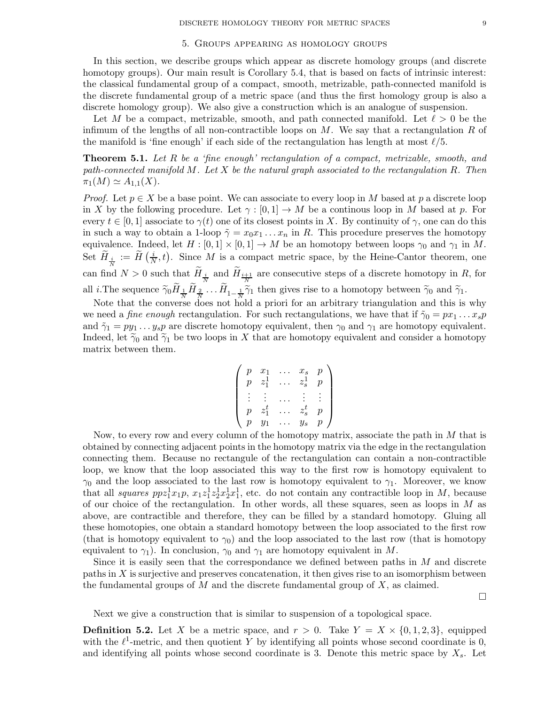### 5. Groups appearing as homology groups

In this section, we describe groups which appear as discrete homology groups (and discrete homotopy groups). Our main result is Corollary 5.4, that is based on facts of intrinsic interest: the classical fundamental group of a compact, smooth, metrizable, path-connected manifold is the discrete fundamental group of a metric space (and thus the first homology group is also a discrete homology group). We also give a construction which is an analogue of suspension.

Let M be a compact, metrizable, smooth, and path connected manifold. Let  $\ell > 0$  be the infimum of the lengths of all non-contractible loops on  $M$ . We say that a rectangulation  $R$  of the manifold is 'fine enough' if each side of the rectangulation has length at most  $\ell/5$ .

Theorem 5.1. Let R be a 'fine enough' rectangulation of a compact, metrizable, smooth, and path-connected manifold  $M$ . Let  $X$  be the natural graph associated to the rectangulation  $R$ . Then  $\pi_1(M) \simeq A_{1,1}(X)$ .

*Proof.* Let  $p \in X$  be a base point. We can associate to every loop in M based at p a discrete loop in X by the following procedure. Let  $\gamma : [0, 1] \to M$  be a continuous loop in M based at p. For every  $t \in [0, 1]$  associate to  $\gamma(t)$  one of its closest points in X. By continuity of  $\gamma$ , one can do this in such a way to obtain a 1-loop  $\tilde{\gamma} = x_0 x_1 \dots x_n$  in R. This procedure preserves the homotopy equivalence. Indeed, let  $H : [0,1] \times [0,1] \to M$  be an homotopy between loops  $\gamma_0$  and  $\gamma_1$  in M. Set  $\widetilde{H}_{\frac{i}{N}} := \widetilde{H}(\frac{i}{N},t)$ . Since M is a compact metric space, by the Heine-Cantor theorem, one N can find  $N > 0$  such that  $H_{\frac{i}{N}}$  and  $H_{\frac{i+1}{N}}$  are consecutive steps of a discrete homotopy in R, for all *i*. The sequence  $\widetilde{\gamma}_0 H_{\frac{1}{N}} H_{\frac{2}{N}} \dots H_{1-\frac{1}{N}} \widetilde{\gamma}_1$  then gives rise to a homotopy between  $\widetilde{\gamma}_0$  and  $\widetilde{\gamma}_1$ .

Note that the converse does not hold a priori for an arbitrary triangulation and this is why we need a *fine enough* rectangulation. For such rectangulations, we have that if  $\tilde{\gamma}_0 = px_1 \dots x_sp$ and  $\tilde{\gamma}_1 = py_1 \dots y_s p$  are discrete homotopy equivalent, then  $\gamma_0$  and  $\gamma_1$  are homotopy equivalent. Indeed, let  $\tilde{\gamma}_0$  and  $\tilde{\gamma}_1$  be two loops in X that are homotopy equivalent and consider a homotopy matrix between them.

$$
\left(\begin{array}{cccc} p & x_1 & \dots & x_s & p \\ p & z_1^1 & \dots & z_s^1 & p \\ \vdots & \vdots & \dots & \vdots & \vdots \\ p & z_1^t & \dots & z_s^t & p \\ p & y_1 & \dots & y_s & p \end{array}\right)
$$

Now, to every row and every column of the homotopy matrix, associate the path in M that is obtained by connecting adjacent points in the homotopy matrix via the edge in the rectangulation connecting them. Because no rectangule of the rectangulation can contain a non-contractible loop, we know that the loop associated this way to the first row is homotopy equivalent to  $\gamma_0$  and the loop associated to the last row is homotopy equivalent to  $\gamma_1$ . Moreover, we know that all squares  $ppz_1^1x_1p$ ,  $x_1z_1^1z_2^1x_2^1x_1^1$ , etc. do not contain any contractible loop in M, because of our choice of the rectangulation. In other words, all these squares, seen as loops in  $M$  as above, are contractible and therefore, they can be filled by a standard homotopy. Gluing all these homotopies, one obtain a standard homotopy between the loop associated to the first row (that is homotopy equivalent to  $\gamma_0$ ) and the loop associated to the last row (that is homotopy equivalent to  $\gamma_1$ ). In conclusion,  $\gamma_0$  and  $\gamma_1$  are homotopy equivalent in M.

Since it is easily seen that the correspondance we defined between paths in  $M$  and discrete paths in X is surjective and preserves concatenation, it then gives rise to an isomorphism between the fundamental groups of  $M$  and the discrete fundamental group of  $X$ , as claimed.

Next we give a construction that is similar to suspension of a topological space.

**Definition 5.2.** Let X be a metric space, and  $r > 0$ . Take  $Y = X \times \{0, 1, 2, 3\}$ , equipped with the  $\ell^1$ -metric, and then quotient Y by identifying all points whose second coordinate is 0, and identifying all points whose second coordinate is 3. Denote this metric space by  $X_s$ . Let

 $\Box$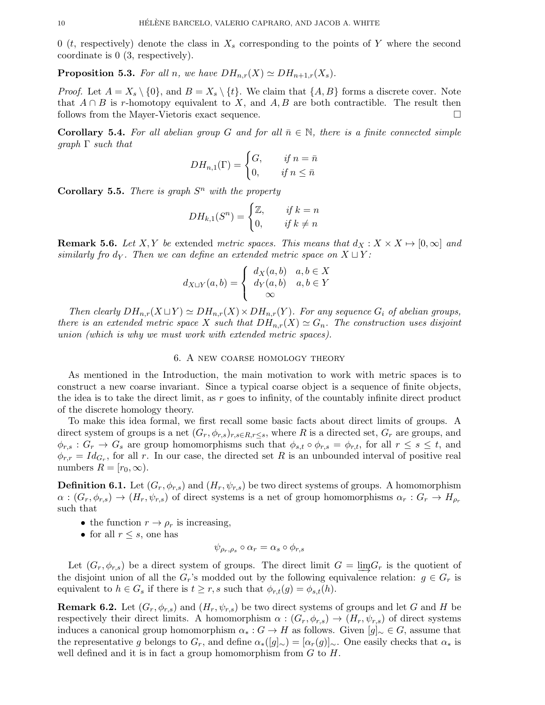0 (t, respectively) denote the class in  $X_s$  corresponding to the points of Y where the second coordinate is 0 (3, respectively).

**Proposition 5.3.** For all n, we have  $DH_{n,r}(X) \simeq DH_{n+1,r}(X_s)$ .

*Proof.* Let  $A = X_s \setminus \{0\}$ , and  $B = X_s \setminus \{t\}$ . We claim that  $\{A, B\}$  forms a discrete cover. Note that  $A \cap B$  is r-homotopy equivalent to X, and A, B are both contractible. The result then follows from the Mayer-Vietoris exact sequence.

**Corollary 5.4.** For all abelian group G and for all  $\bar{n} \in \mathbb{N}$ , there is a finite connected simple  $graph \Gamma such that$ 

$$
DH_{n,1}(\Gamma) = \begin{cases} G, & \text{if } n = \bar{n} \\ 0, & \text{if } n \le \bar{n} \end{cases}
$$

**Corollary 5.5.** There is graph  $S<sup>n</sup>$  with the property

$$
DH_{k,1}(S^n) = \begin{cases} \mathbb{Z}, & \text{if } k = n \\ 0, & \text{if } k \neq n \end{cases}
$$

**Remark 5.6.** Let X, Y be extended metric spaces. This means that  $d_X : X \times X \mapsto [0, \infty]$  and similarly fro dy. Then we can define an extended metric space on  $X \sqcup Y$ :

$$
d_{X \sqcup Y}(a, b) = \begin{cases} d_X(a, b) & a, b \in X \\ d_Y(a, b) & a, b \in Y \\ \infty & \end{cases}
$$

Then clearly  $DH_{n,r}(X \sqcup Y) \simeq DH_{n,r}(X) \times DH_{n,r}(Y)$ . For any sequence  $G_i$  of abelian groups, there is an extended metric space X such that  $DH_{n,r}(X) \simeq G_n$ . The construction uses disjoint union (which is why we must work with extended metric spaces).

### 6. A new coarse homology theory

As mentioned in the Introduction, the main motivation to work with metric spaces is to construct a new coarse invariant. Since a typical coarse object is a sequence of finite objects, the idea is to take the direct limit, as r goes to infinity, of the countably infinite direct product of the discrete homology theory.

To make this idea formal, we first recall some basic facts about direct limits of groups. A direct system of groups is a net  $(G_r, \phi_{r,s})_{r,s\in R,r\leq s}$ , where R is a directed set,  $G_r$  are groups, and  $\phi_{r,s}: G_r \to G_s$  are group homomorphisms such that  $\phi_{s,t} \circ \phi_{r,s} = \phi_{r,t}$ , for all  $r \leq s \leq t$ , and  $\phi_{r,r} = Id_{G_r}$ , for all r. In our case, the directed set R is an unbounded interval of positive real numbers  $R = [r_0, \infty)$ .

**Definition 6.1.** Let  $(G_r, \phi_{r,s})$  and  $(H_r, \psi_{r,s})$  be two direct systems of groups. A homomorphism  $\alpha: (G_r, \phi_{r,s}) \to (H_r, \psi_{r,s})$  of direct systems is a net of group homomorphisms  $\alpha_r: G_r \to H_{\rho_r}$ such that

- the function  $r \to \rho_r$  is increasing,
- for all  $r \leq s$ , one has

$$
\psi_{\rho_r,\rho_s} \circ \alpha_r = \alpha_s \circ \phi_{r,s}
$$

Let  $(G_r, \phi_{r,s})$  be a direct system of groups. The direct limit  $G = \lim G_r$  is the quotient of the disjoint union of all the  $G_r$ 's modded out by the following equivalence relation:  $g \in G_r$  is equivalent to  $h \in G_s$  if there is  $t \geq r, s$  such that  $\phi_{r,t}(g) = \phi_{s,t}(h)$ .

**Remark 6.2.** Let  $(G_r, \phi_{r,s})$  and  $(H_r, \psi_{r,s})$  be two direct systems of groups and let G and H be respectively their direct limits. A homomorphism  $\alpha : (G_r, \phi_{r,s}) \to (H_r, \psi_{r,s})$  of direct systems induces a canonical group homomorphism  $\alpha_* : G \to H$  as follows. Given  $[g]_{\sim} \in G$ , assume that the representative g belongs to  $G_r$ , and define  $\alpha_*(|g|_{\sim})=[\alpha_r(g)]_{\sim}$ . One easily checks that  $\alpha_*$  is well defined and it is in fact a group homomorphism from  $G$  to  $H$ .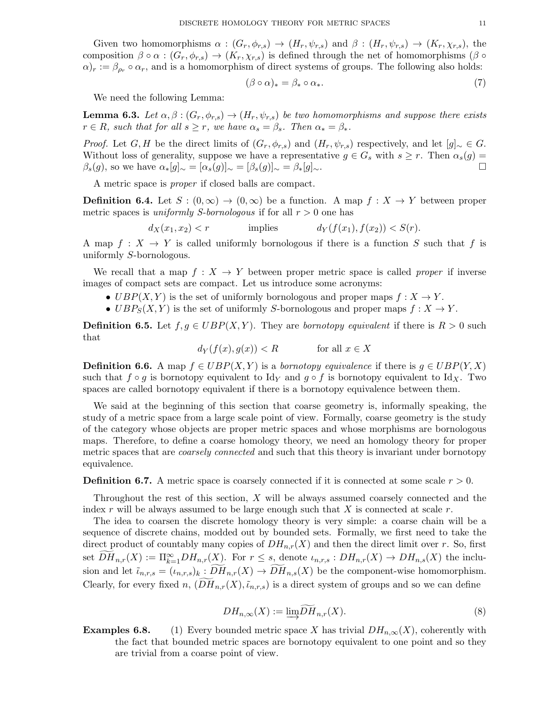Given two homomorphisms  $\alpha : (G_r, \phi_{r,s}) \to (H_r, \psi_{r,s})$  and  $\beta : (H_r, \psi_{r,s}) \to (K_r, \chi_{r,s})$ , the composition  $\beta \circ \alpha : (G_r, \phi_{r,s}) \to (K_r, \chi_{r,s})$  is defined through the net of homomorphisms  $(\beta \circ$  $\alpha_r := \beta_{\rho_r} \circ \alpha_r$ , and is a homomorphism of direct systems of groups. The following also holds:

$$
(\beta \circ \alpha)_* = \beta_* \circ \alpha_*.\tag{7}
$$

We need the following Lemma:

**Lemma 6.3.** Let  $\alpha, \beta : (G_r, \phi_{r,s}) \to (H_r, \psi_{r,s})$  be two homomorphisms and suppose there exists  $r \in R$ , such that for all  $s \geq r$ , we have  $\alpha_s = \beta_s$ . Then  $\alpha_* = \beta_*$ .

*Proof.* Let G, H be the direct limits of  $(G_r, \phi_{r,s})$  and  $(H_r, \psi_{r,s})$  respectively, and let  $[g]_{\sim} \in G$ . Without loss of generality, suppose we have a representative  $g \in G_s$  with  $s \geq r$ . Then  $\alpha_s(g)$  $\beta_s(g)$ , so we have  $\alpha_*[g]_{\sim} = [\alpha_s(g)]_{\sim} = [\beta_s(g)]_{\sim} = \beta_*[g]_{\sim}$ .

A metric space is proper if closed balls are compact.

**Definition 6.4.** Let  $S : (0, \infty) \to (0, \infty)$  be a function. A map  $f : X \to Y$  between proper metric spaces is *uniformly S-bornologous* if for all  $r > 0$  one has

$$
d_X(x_1, x_2) < r
$$
 implies  $d_Y(f(x_1), f(x_2)) < S(r)$ .

A map  $f: X \to Y$  is called uniformly bornologous if there is a function S such that f is uniformly S-bornologous.

We recall that a map  $f: X \to Y$  between proper metric space is called proper if inverse images of compact sets are compact. Let us introduce some acronyms:

- $UBP(X, Y)$  is the set of uniformly bornologous and proper maps  $f: X \to Y$ .
- $UBP_S(X, Y)$  is the set of uniformly S-bornologous and proper maps  $f: X \to Y$ .

**Definition 6.5.** Let  $f, g \in UBP(X, Y)$ . They are *bornotopy equivalent* if there is  $R > 0$  such that

 $d_Y(f(x), q(x)) < R$  for all  $x \in X$ 

**Definition 6.6.** A map  $f \in UBP(X, Y)$  is a bornotopy equivalence if there is  $g \in UBP(Y, X)$ such that  $f \circ g$  is bornotopy equivalent to Id<sub>Y</sub> and  $g \circ f$  is bornotopy equivalent to Id<sub>X</sub>. Two spaces are called bornotopy equivalent if there is a bornotopy equivalence between them.

We said at the beginning of this section that coarse geometry is, informally speaking, the study of a metric space from a large scale point of view. Formally, coarse geometry is the study of the category whose objects are proper metric spaces and whose morphisms are bornologous maps. Therefore, to define a coarse homology theory, we need an homology theory for proper metric spaces that are *coarsely connected* and such that this theory is invariant under bornotopy equivalence.

**Definition 6.7.** A metric space is coarsely connected if it is connected at some scale  $r > 0$ .

Throughout the rest of this section, X will be always assumed coarsely connected and the index r will be always assumed to be large enough such that  $X$  is connected at scale  $r$ .

The idea to coarsen the discrete homology theory is very simple: a coarse chain will be a sequence of discrete chains, modded out by bounded sets. Formally, we first need to take the direct product of countably many copies of  $DH_{n,r}(X)$  and then the direct limit over r. So, first set  $DH_{n,r}(X) := \Pi_{k=1}^{\infty} DH_{n,r}(X)$ . For  $r \leq s$ , denote  $\iota_{n,r,s} : DH_{n,r}(X) \to DH_{n,s}(X)$  the inclusion and let  $\tilde{\iota}_{n,r,s} = (\iota_{n,r,s})_k : DH_{n,r}(X) \to DH_{n,s}(X)$  be the component-wise homomorphism. Clearly, for every fixed n,  $(\widetilde{DH}_{n,r}(X), \tilde{\iota}_{n,r,s})$  is a direct system of groups and so we can define

$$
DH_{n,\infty}(X) := \underline{\lim} DH_{n,r}(X). \tag{8}
$$

**Examples 6.8.** (1) Every bounded metric space X has trivial  $DH_{n,\infty}(X)$ , coherently with the fact that bounded metric spaces are bornotopy equivalent to one point and so they are trivial from a coarse point of view.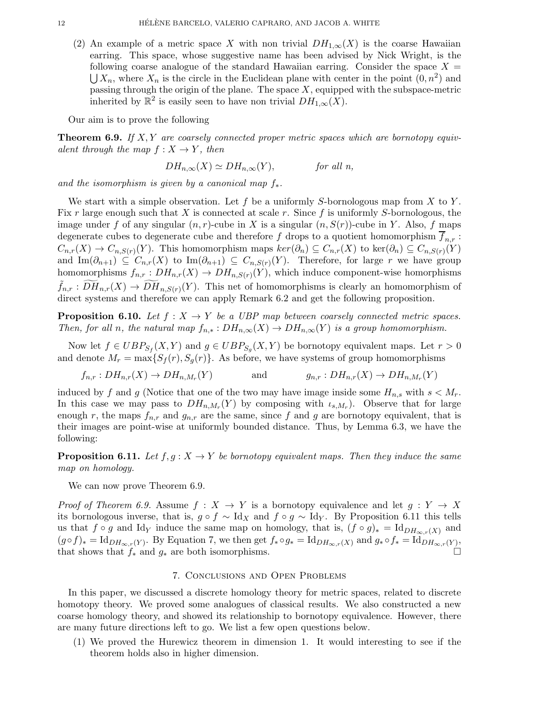(2) An example of a metric space X with non trivial  $DH_{1,\infty}(X)$  is the coarse Hawaiian earring. This space, whose suggestive name has been advised by Nick Wright, is the following coarse analogue of the standard Hawaiian earring. Consider the space  $X = \bigcup X_n$ , where  $X_n$  is the circle in the Euclidean plane with center in the point  $(0, n^2)$  and passing through the origin of the plane. The space  $X$ , equipped with the subspace-metric inherited by  $\mathbb{R}^2$  is easily seen to have non trivial  $DH_{1,\infty}(X)$ .

Our aim is to prove the following

**Theorem 6.9.** If X, Y are coarsely connected proper metric spaces which are bornotopy equivalent through the map  $f: X \to Y$ , then

$$
DH_{n,\infty}(X) \simeq DH_{n,\infty}(Y), \qquad \text{for all } n,
$$

and the isomorphism is given by a canonical map  $f_*$ .

We start with a simple observation. Let f be a uniformly S-bornologous map from X to Y. Fix r large enough such that X is connected at scale r. Since f is uniformly S-bornologous, the image under f of any singular  $(n, r)$ -cube in X is a singular  $(n, S(r))$ -cube in Y. Also, f maps degenerate cubes to degenerate cube and therefore f drops to a quotient homomorphism  $\overline{f}_{n,r}$ :  $C_{n,r}(X) \to C_{n,S(r)}(Y)$ . This homomorphism maps  $ker(\partial_n) \subseteq C_{n,r}(X)$  to  $ker(\partial_n) \subseteq C_{n,S(r)}(Y)$ and Im $(\partial_{n+1}) \subseteq C_{n,r}(X)$  to Im $(\partial_{n+1}) \subseteq C_{n,S(r)}(Y)$ . Therefore, for large r we have group homomorphisms  $f_{n,r}:DH_{n,r}(X) \to DH_{n,S(r)}(Y)$ , which induce component-wise homorphisms  $\tilde{f}_{n,r}: \tilde{DH}_{n,r}(X) \to \tilde{DH}_{n,S(r)}(Y)$ . This net of homomorphisms is clearly an homomorphism of direct systems and therefore we can apply Remark 6.2 and get the following proposition.

**Proposition 6.10.** Let  $f: X \to Y$  be a UBP map between coarsely connected metric spaces. Then, for all n, the natural map  $f_{n,*}:DH_{n,\infty}(X) \to DH_{n,\infty}(Y)$  is a group homomorphism.

Now let  $f \in UBP_{S_f}(X, Y)$  and  $g \in UBP_{S_g}(X, Y)$  be bornotopy equivalent maps. Let  $r > 0$ and denote  $M_r = \max\{S_f(r), S_g(r)\}\$ . As before, we have systems of group homomorphisms

$$
f_{n,r}:DH_{n,r}(X) \to DH_{n,M_r}(Y)
$$
 and  $g_{n,r}:DH_{n,r}(X) \to DH_{n,M_r}(Y)$ 

induced by f and g (Notice that one of the two may have image inside some  $H_{n,s}$  with  $s < M_r$ . In this case we may pass to  $DH_{n,M_r}(Y)$  by composing with  $\iota_{s,M_r}$ ). Observe that for large enough r, the maps  $f_{n,r}$  and  $g_{n,r}$  are the same, since f and g are bornotopy equivalent, that is their images are point-wise at uniformly bounded distance. Thus, by Lemma 6.3, we have the following:

**Proposition 6.11.** Let  $f, g: X \to Y$  be bornotopy equivalent maps. Then they induce the same map on homology.

We can now prove Theorem 6.9.

*Proof of Theorem 6.9.* Assume  $f: X \to Y$  is a bornotopy equivalence and let  $g: Y \to X$ its bornologous inverse, that is,  $g \circ f \sim \text{Id}_X$  and  $f \circ g \sim \text{Id}_Y$ . By Proposition 6.11 this tells us that  $f \circ g$  and Id<sub>Y</sub> induce the same map on homology, that is,  $(f \circ g)_* = \text{Id}_{DH_{\infty}r(X)}$  and  $(g \circ f)_* = \mathrm{Id}_{DH_{\infty,r}(Y)}$ . By Equation 7, we then get  $f_* \circ g_* = \mathrm{Id}_{DH_{\infty,r}(X)}$  and  $g_* \circ f_* = \mathrm{Id}_{DH_{\infty,r}(Y)}$ , that shows that  $f_*$  and  $g_*$  are both isomorphisms.

# 7. Conclusions and Open Problems

In this paper, we discussed a discrete homology theory for metric spaces, related to discrete homotopy theory. We proved some analogues of classical results. We also constructed a new coarse homology theory, and showed its relationship to bornotopy equivalence. However, there are many future directions left to go. We list a few open questions below.

(1) We proved the Hurewicz theorem in dimension 1. It would interesting to see if the theorem holds also in higher dimension.